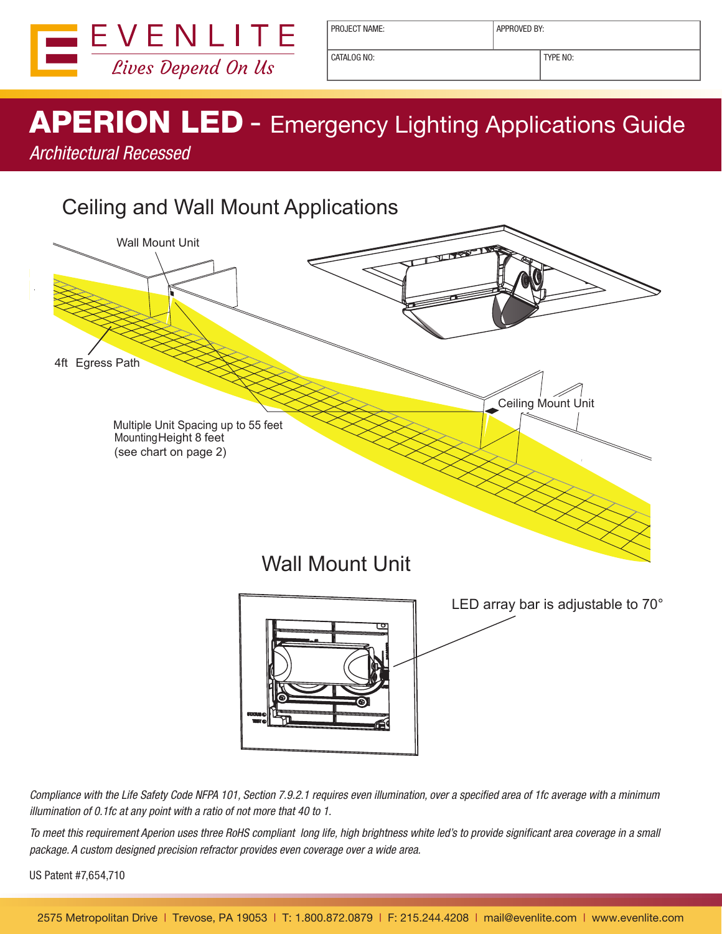

CATALOG NO: TYPE NO:

## APERION LED - Emergency Lighting Applications Guide

*Architectural Recessed*

## Ceiling and Wall Mount Applications



*Compliance with the Life Safety Code NFPA 101, Section 7.9.2.1 requires even illumination, over a specified area of 1fc average with a minimum illumination of 0.1fc at any point with a ratio of not more that 40 to 1.*

*To meet this requirement Aperion uses three RoHS compliant long life, high brightness white led's to provide significant area coverage in a small package. A custom designed precision refractor provides even coverage over a wide area.*

US Patent #7,654,710